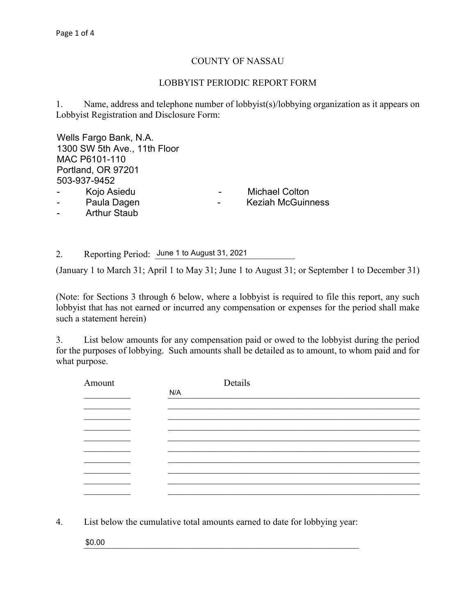## COUNTY OF NASSAU

## LOBBYIST PERIODIC REPORT FORM

1. Name, address and telephone number of lobbyist(s)/lobbying organization as it appears on Lobbyist Registration and Disclosure Form:

Wells Fargo Bank, N.A. <u>In the set of the set of the set of the set of the set of the set of the set of the set of the set of the set of the set of the set of the set of the set of the set of the set of the set of the set </u> \_\_\_\_\_\_\_\_\_\_\_\_\_\_\_\_\_\_\_\_\_\_\_\_\_\_\_\_\_\_\_\_\_\_\_\_\_\_\_\_\_\_\_\_\_\_\_\_\_\_\_\_\_\_\_\_\_\_\_\_\_\_\_\_\_\_\_\_\_\_\_\_\_\_\_\_\_\_ MAC P6101-110 \_\_\_\_\_\_\_\_\_\_\_\_\_\_\_\_\_\_\_\_\_\_\_\_\_\_\_\_\_\_\_\_\_\_\_\_\_\_\_\_\_\_\_\_\_\_\_\_\_\_\_\_\_\_\_\_\_\_\_\_\_\_\_\_\_\_\_\_\_\_\_\_\_\_\_\_\_\_ 503-937-9452 1300 SW 5th Ave., 11th Floor Portland, OR 97201

- 
- 
- Arthur Staub

Kojo Asiedu **- Michael Colton** 

\_\_\_\_\_\_\_\_\_\_\_\_\_\_\_\_\_\_\_\_\_\_\_\_\_\_\_\_\_\_\_\_\_\_\_\_\_\_\_\_\_\_\_\_\_\_\_\_\_\_\_\_\_\_\_\_\_\_\_\_\_\_\_\_\_\_\_\_\_\_\_\_\_\_\_\_\_\_ - Paula Dagen - Keziah McGuinness

2. Reporting Period: June 1 to August 31, 2021

(January 1 to March 31; April 1 to May 31; June 1 to August 31; or September 1 to December 31)

(Note: for Sections 3 through 6 below, where a lobbyist is required to file this report, any such lobbyist that has not earned or incurred any compensation or expenses for the period shall make such a statement herein)

3. List below amounts for any compensation paid or owed to the lobbyist during the period for the purposes of lobbying. Such amounts shall be detailed as to amount, to whom paid and for what purpose.

| Amount | Details |
|--------|---------|
|        | N/A     |
|        |         |
|        |         |
|        |         |
|        |         |
|        |         |
|        |         |
|        |         |
|        |         |
|        |         |

4. List below the cumulative total amounts earned to date for lobbying year:

 $$0.00$ \$0.00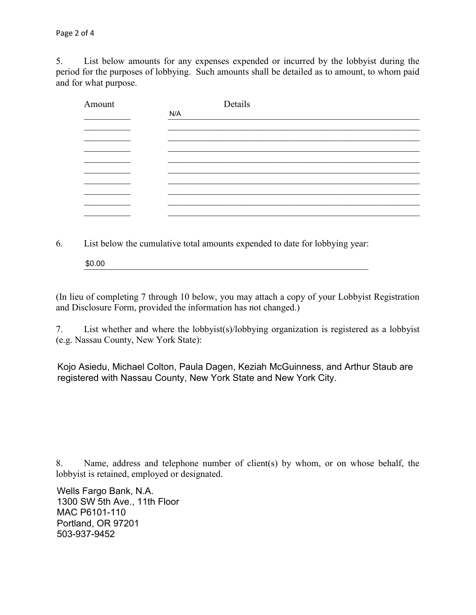5. List below amounts for any expenses expended or incurred by the lobbyist during the period for the purposes of lobbying. Such amounts shall be detailed as to amount, to whom paid and for what purpose.

| Amount | Details |
|--------|---------|
|        | N/A     |
|        |         |
|        |         |
|        |         |
|        |         |
|        |         |
|        |         |
|        |         |
|        |         |
|        |         |

6. List below the cumulative total amounts expended to date for lobbying year:

 $$0.00$ \$0.00

(In lieu of completing 7 through 10 below, you may attach a copy of your Lobbyist Registration and Disclosure Form, provided the information has not changed.)

7. List whether and where the lobbyist(s)/lobbying organization is registered as a lobbyist (e.g. Nassau County, New York State):

Kojo Asiedu, Michael Colton, Paula Dagen, Keziah McGuinness, and Arthur Staub are registered with Nassau County, New York State and New York City.

8. Name, address and telephone number of client(s) by whom, or on whose behalf, the lobbyist is retained, employed or designated.

1300 SW 5th Ave., 11th Floor **Example 20** SW 5th Ave., 11th Floor Portland, OR 97201 **Portland**, OR 97201 Wells Fargo Bank, N.A. MAC P6101-110 503-937-9452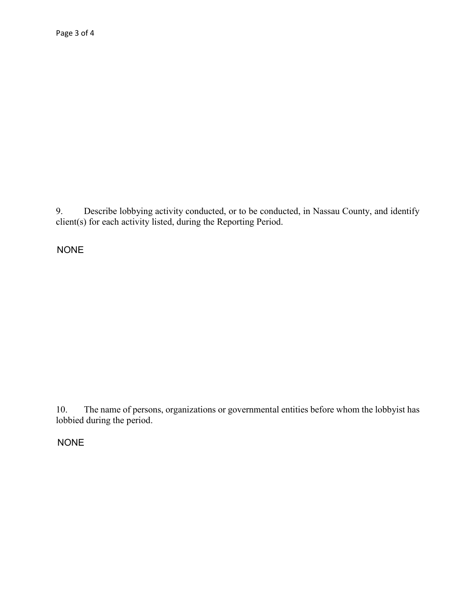9. Describe lobbying activity conducted, or to be conducted, in Nassau County, and identify client(s) for each activity listed, during the Reporting Period.

**NONE** 

The name of persons, organizations or governmental entities before whom the lobbyist has  $10.$ lobbied during the period.

**NONE**